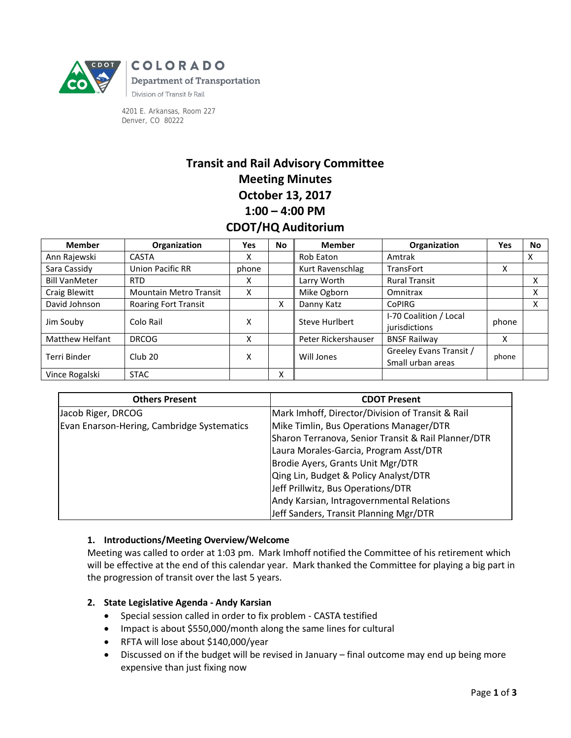

**COLORADO Department of Transportation** Division of Transit & Rail

4201 E. Arkansas, Room 227 Denver, CO 80222

# **Transit and Rail Advisory Committee Meeting Minutes October 13, 2017 1:00 – 4:00 PM CDOT/HQ Auditorium**

| <b>Member</b>          | Organization                  | Yes   | <b>No</b> | <b>Member</b>       | Organization                                 | Yes   | <b>No</b> |
|------------------------|-------------------------------|-------|-----------|---------------------|----------------------------------------------|-------|-----------|
| Ann Rajewski           | <b>CASTA</b>                  | x     |           | Rob Eaton           | Amtrak                                       |       | X         |
| Sara Cassidy           | <b>Union Pacific RR</b>       | phone |           | Kurt Ravenschlag    | <b>TransFort</b>                             | x     |           |
| <b>Bill VanMeter</b>   | <b>RTD</b>                    | X     |           | Larry Worth         | <b>Rural Transit</b>                         |       | x         |
| Craig Blewitt          | <b>Mountain Metro Transit</b> | x     |           | Mike Ogborn         | Omnitrax                                     |       | x         |
| David Johnson          | <b>Roaring Fort Transit</b>   |       | x         | Danny Katz          | <b>CoPIRG</b>                                |       | x         |
| Jim Souby              | Colo Rail                     | x     |           | Steve Hurlbert      | I-70 Coalition / Local<br>jurisdictions      | phone |           |
| <b>Matthew Helfant</b> | <b>DRCOG</b>                  | x     |           | Peter Rickershauser | <b>BNSF Railway</b>                          | X     |           |
| Terri Binder           | Club <sub>20</sub>            | x     |           | Will Jones          | Greeley Evans Transit /<br>Small urban areas | phone |           |
| Vince Rogalski         | <b>STAC</b>                   |       | Χ         |                     |                                              |       |           |

| <b>Others Present</b>                      | <b>CDOT Present</b>                                 |  |  |
|--------------------------------------------|-----------------------------------------------------|--|--|
| Jacob Riger, DRCOG                         | Mark Imhoff, Director/Division of Transit & Rail    |  |  |
| Evan Enarson-Hering, Cambridge Systematics | Mike Timlin, Bus Operations Manager/DTR             |  |  |
|                                            | Sharon Terranova, Senior Transit & Rail Planner/DTR |  |  |
|                                            | Laura Morales-Garcia, Program Asst/DTR              |  |  |
|                                            | Brodie Ayers, Grants Unit Mgr/DTR                   |  |  |
|                                            | Qing Lin, Budget & Policy Analyst/DTR               |  |  |
|                                            | Jeff Prillwitz, Bus Operations/DTR                  |  |  |
|                                            | Andy Karsian, Intragovernmental Relations           |  |  |
|                                            | Jeff Sanders, Transit Planning Mgr/DTR              |  |  |

## **1. Introductions/Meeting Overview/Welcome**

Meeting was called to order at 1:03 pm. Mark Imhoff notified the Committee of his retirement which will be effective at the end of this calendar year. Mark thanked the Committee for playing a big part in the progression of transit over the last 5 years.

# **2. State Legislative Agenda - Andy Karsian**

- Special session called in order to fix problem CASTA testified
- Impact is about \$550,000/month along the same lines for cultural
- RFTA will lose about \$140,000/year
- Discussed on if the budget will be revised in January final outcome may end up being more expensive than just fixing now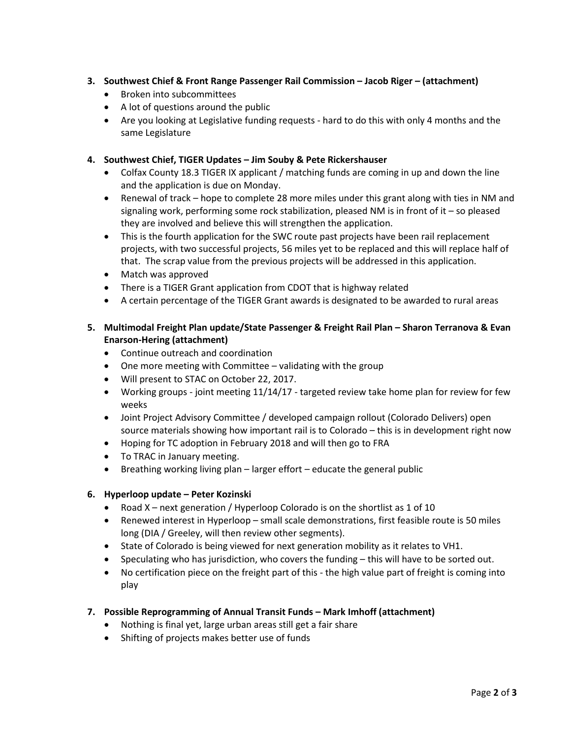## **3. Southwest Chief & Front Range Passenger Rail Commission – Jacob Riger – (attachment)**

- Broken into subcommittees
- A lot of questions around the public
- Are you looking at Legislative funding requests hard to do this with only 4 months and the same Legislature

## **4. Southwest Chief, TIGER Updates – Jim Souby & Pete Rickershauser**

- Colfax County 18.3 TIGER IX applicant / matching funds are coming in up and down the line and the application is due on Monday.
- Renewal of track hope to complete 28 more miles under this grant along with ties in NM and signaling work, performing some rock stabilization, pleased NM is in front of it – so pleased they are involved and believe this will strengthen the application.
- This is the fourth application for the SWC route past projects have been rail replacement projects, with two successful projects, 56 miles yet to be replaced and this will replace half of that. The scrap value from the previous projects will be addressed in this application.
- Match was approved
- There is a TIGER Grant application from CDOT that is highway related
- A certain percentage of the TIGER Grant awards is designated to be awarded to rural areas

## **5. Multimodal Freight Plan update/State Passenger & Freight Rail Plan – Sharon Terranova & Evan Enarson-Hering (attachment)**

- Continue outreach and coordination
- One more meeting with Committee validating with the group
- Will present to STAC on October 22, 2017.
- Working groups joint meeting 11/14/17 targeted review take home plan for review for few weeks
- Joint Project Advisory Committee / developed campaign rollout (Colorado Delivers) open source materials showing how important rail is to Colorado – this is in development right now
- Hoping for TC adoption in February 2018 and will then go to FRA
- To TRAC in January meeting.
- Breathing working living plan larger effort educate the general public

## **6. Hyperloop update – Peter Kozinski**

- Road X next generation / Hyperloop Colorado is on the shortlist as 1 of 10
- Renewed interest in Hyperloop small scale demonstrations, first feasible route is 50 miles long (DIA / Greeley, will then review other segments).
- State of Colorado is being viewed for next generation mobility as it relates to VH1.
- Speculating who has jurisdiction, who covers the funding this will have to be sorted out.
- No certification piece on the freight part of this the high value part of freight is coming into play

## **7. Possible Reprogramming of Annual Transit Funds – Mark Imhoff (attachment)**

- Nothing is final yet, large urban areas still get a fair share
- Shifting of projects makes better use of funds